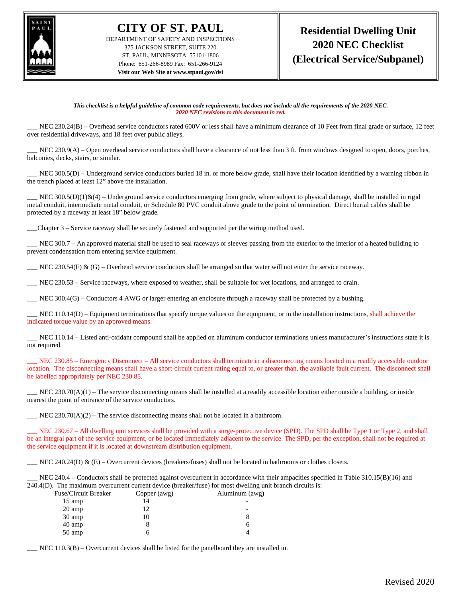

**CITY OF ST. PAUL** DEPARTMENT OF SAFETY AND INSPECTIONS 375 JACKSON STREET, SUITE 220 ST. PAUL, MINNESOTA 55101-1806 Phone: 651-266-8989 Fax: 651-266-9124 **Visit our Web Site at www.stpaul.gov/dsi**

*This checklist is a helpful guideline of common code requirements, but does not include all the requirements of the 2020 NEC. 2020 NEC revisions to this document in red.*

NEC 230.24(B) – Overhead service conductors rated 600V or less shall have a minimum clearance of 10 Feet from final grade or surface, 12 feet over residential driveways, and 18 feet over public alleys.

NEC 230.9(A) – Open overhead service conductors shall have a clearance of not less than 3 ft. from windows designed to open, doors, porches, balconies, decks, stairs, or similar.

NEC 300.5(D) – Underground service conductors buried 18 in. or more below grade, shall have their location identified by a warning ribbon in the trench placed at least 12" above the installation.

NEC  $300.5(D)(1)\&(4)$  – Underground service conductors emerging from grade, where subject to physical damage, shall be installed in rigid metal conduit, intermediate metal conduit, or Schedule 80 PVC conduit above grade to the point of termination. Direct burial cables shall be protected by a raceway at least 18" below grade.

\_\_\_Chapter 3 – Service raceway shall be securely fastened and supported per the wiring method used.

\_\_\_ NEC 300.7 – An approved material shall be used to seal raceways or sleeves passing from the exterior to the interior of a heated building to prevent condensation from entering service equipment.

NEC 230.54(F)  $\&$  (G) – Overhead service conductors shall be arranged so that water will not enter the service raceway.

\_\_\_ NEC 230.53 – Service raceways, where exposed to weather, shall be suitable for wet locations, and arranged to drain.

\_\_\_ NEC 300.4(G) – Conductors 4 AWG or larger entering an enclosure through a raceway shall be protected by a bushing.

NEC 110.14(D) – Equipment terminations that specify torque values on the equipment, or in the installation instructions, shall achieve the indicated torque value by an approved means.

NEC 110.14 – Listed anti-oxidant compound shall be applied on aluminum conductor terminations unless manufacturer's instructions state it is not required.

NEC 230.85 – Emergency Disconnect – All service conductors shall terminate in a disconnecting means located in a readily accessible outdoor location. The disconnecting means shall have a short-circuit current rating equal to, or greater than, the available fault current. The disconnect shall be labelled appropriately per NEC 230.85.

NEC 230.70(A)(1) – The service disconnecting means shall be installed at a readily accessible location either outside a building, or inside nearest the point of entrance of the service conductors.

 $\text{NEC } 230.70(\text{A})(2)$  – The service disconnecting means shall not be located in a bathroom.

NEC 230.67 – All dwelling unit services shall be provided with a surge-protective device (SPD). The SPD shall be Type 1 or Type 2, and shall be an integral part of the service equipment, or be located immediately adjacent to the service. The SPD, per the exception, shall not be required at the service equipment if it is located at downstream distribution equipment.

NEC 240.24(D)  $\&$  (E) – Overcurrent devices (breakers/fuses) shall not be located in bathrooms or clothes closets.

NEC 240.4 – Conductors shall be protected against overcurrent in accordance with their ampacities specified in Table  $310.15(B)(16)$  and 240.4(D). The maximum overcurrent current device (breaker/fuse) for most dwelling unit branch circuits is:

| Fuse/Circuit Breaker | Copper (awg) | Aluminum (awg) |
|----------------------|--------------|----------------|
| $15 \text{ amp}$     |              |                |
| 20 amp               | 12           |                |
| 30 amp               | 10           |                |
| 40 amp               |              |                |
| 50 amp               |              |                |

\_\_\_ NEC 110.3(B) – Overcurrent devices shall be listed for the panelboard they are installed in.